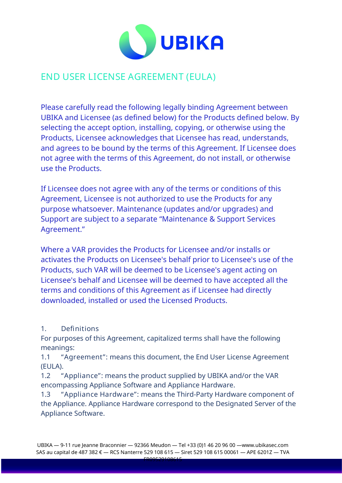

# END USER LICENSE AGREEMENT (EULA)

Please carefully read the following legally binding Agreement between UBIKA and Licensee (as defined below) for the Products defined below. By selecting the accept option, installing, copying, or otherwise using the Products, Licensee acknowledges that Licensee has read, understands, and agrees to be bound by the terms of this Agreement. If Licensee does not agree with the terms of this Agreement, do not install, or otherwise use the Products.

If Licensee does not agree with any of the terms or conditions of this Agreement, Licensee is not authorized to use the Products for any purpose whatsoever. Maintenance (updates and/or upgrades) and Support are subject to a separate "Maintenance & Support Services Agreement."

Where a VAR provides the Products for Licensee and/or installs or activates the Products on Licensee's behalf prior to Licensee's use of the Products, such VAR will be deemed to be Licensee's agent acting on Licensee's behalf and Licensee will be deemed to have accepted all the terms and conditions of this Agreement as if Licensee had directly downloaded, installed or used the Licensed Products.

### 1. Definitions

For purposes of this Agreement, capitalized terms shall have the following meanings:

1.1 "Agreement": means this document, the End User License Agreement (EULA).

1.2 "Appliance": means the product supplied by UBIKA and/or the VAR encompassing Appliance Software and Appliance Hardware.

1.3 "Appliance Hardware": means the Third-Party Hardware component of the Appliance. Appliance Hardware correspond to the Designated Server of the Appliance Software.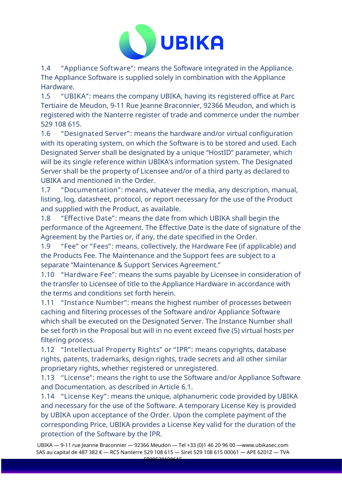

1.4 "Appliance Software": means the Software integrated in the Appliance. The Appliance Software is supplied solely in combination with the Appliance Hardware.

1.5 "UBIKA": means the company UBIKA, having its registered office at Parc Tertiaire de Meudon, 9-11 Rue Jeanne Braconnier, 92366 Meudon, and which is registered with the Nanterre register of trade and commerce under the number 529 108 615.

1.6 "Designated Server": means the hardware and/or virtual configuration with its operating system, on which the Software is to be stored and used. Each Designated Server shall be designated by a unique "HostID" parameter, which will be its single reference within UBIKA's information system. The Designated Server shall be the property of Licensee and/or of a third party as declared to UBIKA and mentioned in the Order.

1.7 "Documentation": means, whatever the media, any description, manual, listing, log, datasheet, protocol, or report necessary for the use of the Product and supplied with the Product, as available.

1.8 "Effective Date": means the date from which UBIKA shall begin the performance of the Agreement. The Effective Date is the date of signature of the Agreement by the Parties or, if any, the date specified in the Order.

1.9 "Fee" or "Fees": means, collectively, the Hardware Fee (if applicable) and the Products Fee. The Maintenance and the Support fees are subject to a separate "Maintenance & Support Services Agreement."

1.10 "Hardware Fee": means the sums payable by Licensee in consideration of the transfer to Licensee of title to the Appliance Hardware in accordance with the terms and conditions set forth herein.

1.11 "Instance Number": means the highest number of processes between caching and filtering processes of the Software and/or Appliance Software which shall be executed on the Designated Server. The Instance Number shall be set forth in the Proposal but will in no event exceed five (5) virtual hosts per filtering process.

1.12 "Intellectual Property Rights" or "IPR": means copyrights, database rights, patents, trademarks, design rights, trade secrets and all other similar proprietary rights, whether registered or unregistered.

1.13 "License": means the right to use the Software and/or Appliance Software and Documentation, as described in Article 6.1.

1.14 "License Key": means the unique, alphanumeric code provided by UBIKA and necessary for the use of the Software. A temporary License Key is provided by UBIKA upon acceptance of the Order. Upon the complete payment of the corresponding Price, UBIKA provides a License Key valid for the duration of the protection of the Software by the IPR.

UBIKA — 9-11 rue Jeanne Braconnier — 92366 Meudon — Tel +33 (0)1 46 20 96 00 —www.ubikasec.com SAS au capital de 487 382 € — RCS Nanterre 529 108 615 — Siret 529 108 615 00061 — APE 6201Z — TVA  $FROOFA0400641$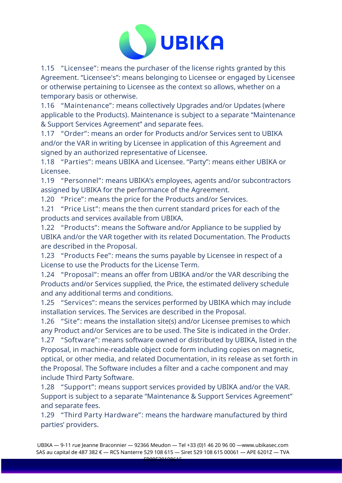

1.15 "Licensee": means the purchaser of the license rights granted by this Agreement. "Licensee's": means belonging to Licensee or engaged by Licensee or otherwise pertaining to Licensee as the context so allows, whether on a temporary basis or otherwise.

1.16 "Maintenance": means collectively Upgrades and/or Updates (where applicable to the Products). Maintenance is subject to a separate "Maintenance & Support Services Agreement" and separate fees.

1.17 "Order": means an order for Products and/or Services sent to UBIKA and/or the VAR in writing by Licensee in application of this Agreement and signed by an authorized representative of Licensee.

1.18 "Parties": means UBIKA and Licensee. "Party": means either UBIKA or Licensee.

1.19 "Personnel": means UBIKA's employees, agents and/or subcontractors assigned by UBIKA for the performance of the Agreement.

1.20 "Price": means the price for the Products and/or Services.

1.21 "Price List": means the then current standard prices for each of the products and services available from UBIKA.

1.22 "Products": means the Software and/or Appliance to be supplied by UBIKA and/or the VAR together with its related Documentation. The Products are described in the Proposal.

1.23 "Products Fee": means the sums payable by Licensee in respect of a License to use the Products for the License Term.

1.24 "Proposal": means an offer from UBIKA and/or the VAR describing the Products and/or Services supplied, the Price, the estimated delivery schedule and any additional terms and conditions.

1.25 "Services": means the services performed by UBIKA which may include installation services. The Services are described in the Proposal.

1.26 "Site": means the installation site(s) and/or Licensee premises to which any Product and/or Services are to be used. The Site is indicated in the Order. 1.27 "Software": means software owned or distributed by UBIKA, listed in the Proposal, in machine-readable object code form including copies on magnetic, optical, or other media, and related Documentation, in its release as set forth in the Proposal. The Software includes a filter and a cache component and may include Third Party Software.

1.28 "Support": means support services provided by UBIKA and/or the VAR. Support is subject to a separate "Maintenance & Support Services Agreement" and separate fees.

1.29 "Third Party Hardware": means the hardware manufactured by third parties' providers.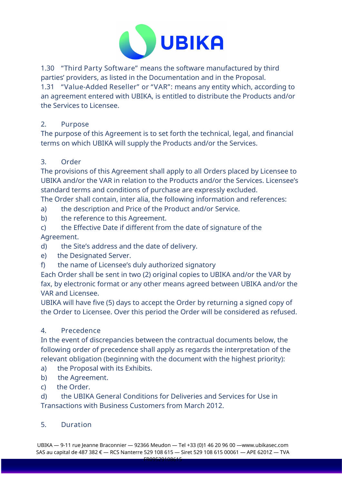

1.30 "Third Party Software" means the software manufactured by third parties' providers, as listed in the Documentation and in the Proposal.

1.31 "Value-Added Reseller" or "VAR": means any entity which, according to an agreement entered with UBIKA, is entitled to distribute the Products and/or the Services to Licensee.

# 2. Purpose

The purpose of this Agreement is to set forth the technical, legal, and financial terms on which UBIKA will supply the Products and/or the Services.

# 3. Order

The provisions of this Agreement shall apply to all Orders placed by Licensee to UBIKA and/or the VAR in relation to the Products and/or the Services. Licensee's standard terms and conditions of purchase are expressly excluded.

The Order shall contain, inter alia, the following information and references:

- a) the description and Price of the Product and/or Service.
- b) the reference to this Agreement.
- c) the Effective Date if different from the date of signature of the Agreement.
- d) the Site's address and the date of delivery.
- e) the Designated Server.
- f) the name of Licensee's duly authorized signatory

Each Order shall be sent in two (2) original copies to UBIKA and/or the VAR by fax, by electronic format or any other means agreed between UBIKA and/or the VAR and Licensee.

UBIKA will have five (5) days to accept the Order by returning a signed copy of the Order to Licensee. Over this period the Order will be considered as refused.

# 4. Precedence

In the event of discrepancies between the contractual documents below, the following order of precedence shall apply as regards the interpretation of the relevant obligation (beginning with the document with the highest priority):

- a) the Proposal with its Exhibits.
- b) the Agreement.
- c) the Order.

d) the UBIKA General Conditions for Deliveries and Services for Use in Transactions with Business Customers from March 2012.

### 5. Duration

UBIKA — 9-11 rue Jeanne Braconnier — 92366 Meudon — Tel +33 (0)1 46 20 96 00 —www.ubikasec.com SAS au capital de 487 382 € — RCS Nanterre 529 108 615 — Siret 529 108 615 00061 — APE 6201Z — TVA FR09529108615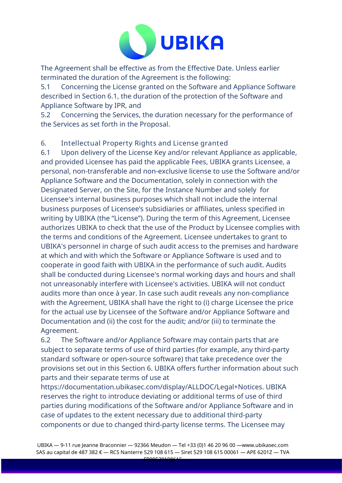

The Agreement shall be effective as from the Effective Date. Unless earlier terminated the duration of the Agreement is the following:

5.1 Concerning the License granted on the Software and Appliance Software described in Section 6.1, the duration of the protection of the Software and Appliance Software by IPR, and

5.2 Concerning the Services, the duration necessary for the performance of the Services as set forth in the Proposal.

# 6. Intellectual Property Rights and License granted

6.1 Upon delivery of the License Key and/or relevant Appliance as applicable, and provided Licensee has paid the applicable Fees, UBIKA grants Licensee, a personal, non-transferable and non-exclusive license to use the Software and/or Appliance Software and the Documentation, solely in connection with the Designated Server, on the Site, for the Instance Number and solely for Licensee's internal business purposes which shall not include the internal business purposes of Licensee's subsidiaries or affiliates, unless specified in writing by UBIKA (the "License"). During the term of this Agreement, Licensee authorizes UBIKA to check that the use of the Product by Licensee complies with the terms and conditions of the Agreement. Licensee undertakes to grant to UBIKA's personnel in charge of such audit access to the premises and hardware at which and with which the Software or Appliance Software is used and to cooperate in good faith with UBIKA in the performance of such audit. Audits shall be conducted during Licensee's normal working days and hours and shall not unreasonably interfere with Licensee's activities. UBIKA will not conduct audits more than once à year. In case such audit reveals any non-compliance with the Agreement, UBIKA shall have the right to (i) charge Licensee the price for the actual use by Licensee of the Software and/or Appliance Software and Documentation and (ii) the cost for the audit; and/or (iii) to terminate the Agreement.

6.2 The Software and/or Appliance Software may contain parts that are subject to separate terms of use of third parties (for example, any third-party standard software or open-source software) that take precedence over the provisions set out in this Section 6. UBIKA offers further information about such parts and their separate terms of use at

https://documentation.ubikasec.com/display/ALLDOC/Legal+Notices. UBIKA reserves the right to introduce deviating or additional terms of use of third parties during modifications of the Software and/or Appliance Software and in case of updates to the extent necessary due to additional third-party components or due to changed third-party license terms. The Licensee may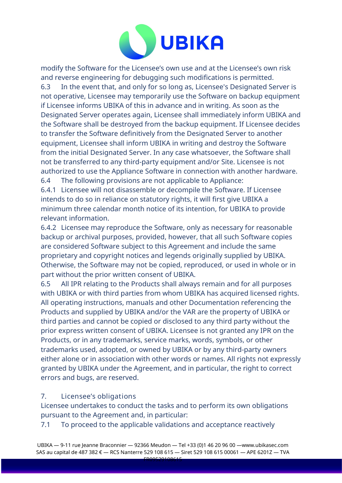

modify the Software for the Licensee's own use and at the Licensee's own risk and reverse engineering for debugging such modifications is permitted. 6.3 In the event that, and only for so long as, Licensee's Designated Server is not operative, Licensee may temporarily use the Software on backup equipment if Licensee informs UBIKA of this in advance and in writing. As soon as the Designated Server operates again, Licensee shall immediately inform UBIKA and the Software shall be destroyed from the backup equipment. If Licensee decides to transfer the Software definitively from the Designated Server to another equipment, Licensee shall inform UBIKA in writing and destroy the Software from the initial Designated Server. In any case whatsoever, the Software shall not be transferred to any third-party equipment and/or Site. Licensee is not authorized to use the Appliance Software in connection with another hardware. 6.4 The following provisions are not applicable to Appliance:

6.4.1 Licensee will not disassemble or decompile the Software. If Licensee intends to do so in reliance on statutory rights, it will first give UBIKA a minimum three calendar month notice of its intention, for UBIKA to provide relevant information.

6.4.2 Licensee may reproduce the Software, only as necessary for reasonable backup or archival purposes, provided, however, that all such Software copies are considered Software subject to this Agreement and include the same proprietary and copyright notices and legends originally supplied by UBIKA. Otherwise, the Software may not be copied, reproduced, or used in whole or in part without the prior written consent of UBIKA.

6.5 All IPR relating to the Products shall always remain and for all purposes with UBIKA or with third parties from whom UBIKA has acquired licensed rights. All operating instructions, manuals and other Documentation referencing the Products and supplied by UBIKA and/or the VAR are the property of UBIKA or third parties and cannot be copied or disclosed to any third party without the prior express written consent of UBIKA. Licensee is not granted any IPR on the Products, or in any trademarks, service marks, words, symbols, or other trademarks used, adopted, or owned by UBIKA or by any third-party owners either alone or in association with other words or names. All rights not expressly granted by UBIKA under the Agreement, and in particular, the right to correct errors and bugs, are reserved.

### 7. Licensee's obligations

Licensee undertakes to conduct the tasks and to perform its own obligations pursuant to the Agreement and, in particular:

7.1 To proceed to the applicable validations and acceptance reactively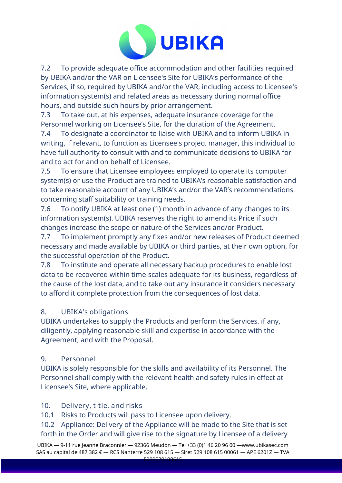

7.2 To provide adequate office accommodation and other facilities required by UBIKA and/or the VAR on Licensee's Site for UBIKA's performance of the Services, if so, required by UBIKA and/or the VAR, including access to Licensee's information system(s) and related areas as necessary during normal office hours, and outside such hours by prior arrangement.

7.3 To take out, at his expenses, adequate insurance coverage for the Personnel working on Licensee's Site, for the duration of the Agreement.

7.4 To designate a coordinator to liaise with UBIKA and to inform UBIKA in writing, if relevant, to function as Licensee's project manager, this individual to have full authority to consult with and to communicate decisions to UBIKA for and to act for and on behalf of Licensee.

7.5 To ensure that Licensee employees employed to operate its computer system(s) or use the Product are trained to UBIKA's reasonable satisfaction and to take reasonable account of any UBIKA's and/or the VAR's recommendations concerning staff suitability or training needs.

7.6 To notify UBIKA at least one (1) month in advance of any changes to its information system(s). UBIKA reserves the right to amend its Price if such changes increase the scope or nature of the Services and/or Product.

7.7 To implement promptly any fixes and/or new releases of Product deemed necessary and made available by UBIKA or third parties, at their own option, for the successful operation of the Product.

7.8 To institute and operate all necessary backup procedures to enable lost data to be recovered within time-scales adequate for its business, regardless of the cause of the lost data, and to take out any insurance it considers necessary to afford it complete protection from the consequences of lost data.

# 8. UBIKA's obligations

UBIKA undertakes to supply the Products and perform the Services, if any, diligently, applying reasonable skill and expertise in accordance with the Agreement, and with the Proposal.

### 9. Personnel

UBIKA is solely responsible for the skills and availability of its Personnel. The Personnel shall comply with the relevant health and safety rules in effect at Licensee's Site, where applicable.

# 10. Delivery, title, and risks

10.1 Risks to Products will pass to Licensee upon delivery.

10.2 Appliance: Delivery of the Appliance will be made to the Site that is set forth in the Order and will give rise to the signature by Licensee of a delivery

UBIKA — 9-11 rue Jeanne Braconnier — 92366 Meudon — Tel +33 (0)1 46 20 96 00 —www.ubikasec.com SAS au capital de 487 382 € — RCS Nanterre 529 108 615 — Siret 529 108 615 00061 — APE 6201Z — TVA  $FROOF20400641$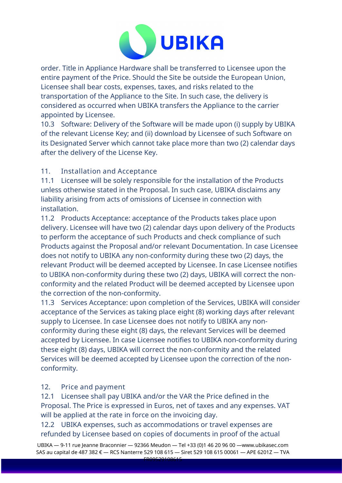

order. Title in Appliance Hardware shall be transferred to Licensee upon the entire payment of the Price. Should the Site be outside the European Union, Licensee shall bear costs, expenses, taxes, and risks related to the transportation of the Appliance to the Site. In such case, the delivery is considered as occurred when UBIKA transfers the Appliance to the carrier appointed by Licensee.

10.3 Software: Delivery of the Software will be made upon (i) supply by UBIKA of the relevant License Key; and (ii) download by Licensee of such Software on its Designated Server which cannot take place more than two (2) calendar days after the delivery of the License Key.

# 11. Installation and Acceptance

11.1 Licensee will be solely responsible for the installation of the Products unless otherwise stated in the Proposal. In such case, UBIKA disclaims any liability arising from acts of omissions of Licensee in connection with installation.

11.2 Products Acceptance: acceptance of the Products takes place upon delivery. Licensee will have two (2) calendar days upon delivery of the Products to perform the acceptance of such Products and check compliance of such Products against the Proposal and/or relevant Documentation. In case Licensee does not notify to UBIKA any non-conformity during these two (2) days, the relevant Product will be deemed accepted by Licensee. In case Licensee notifies to UBIKA non-conformity during these two (2) days, UBIKA will correct the nonconformity and the related Product will be deemed accepted by Licensee upon the correction of the non-conformity.

11.3 Services Acceptance: upon completion of the Services, UBIKA will consider acceptance of the Services as taking place eight (8) working days after relevant supply to Licensee. In case Licensee does not notify to UBIKA any nonconformity during these eight (8) days, the relevant Services will be deemed accepted by Licensee. In case Licensee notifies to UBIKA non-conformity during these eight (8) days, UBIKA will correct the non-conformity and the related Services will be deemed accepted by Licensee upon the correction of the nonconformity.

#### 12. Price and payment

12.1 Licensee shall pay UBIKA and/or the VAR the Price defined in the Proposal. The Price is expressed in Euros, net of taxes and any expenses. VAT will be applied at the rate in force on the invoicing day.

12.2 UBIKA expenses, such as accommodations or travel expenses are refunded by Licensee based on copies of documents in proof of the actual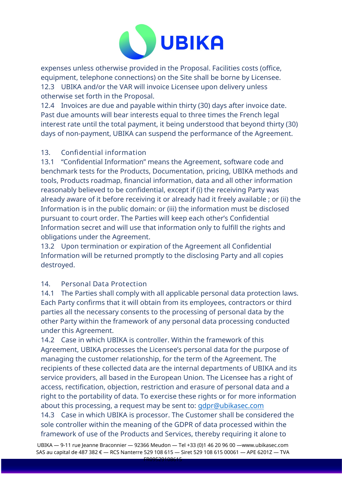

expenses unless otherwise provided in the Proposal. Facilities costs (office, equipment, telephone connections) on the Site shall be borne by Licensee. 12.3 UBIKA and/or the VAR will invoice Licensee upon delivery unless otherwise set forth in the Proposal.

12.4 Invoices are due and payable within thirty (30) days after invoice date. Past due amounts will bear interests equal to three times the French legal interest rate until the total payment, it being understood that beyond thirty (30) days of non-payment, UBIKA can suspend the performance of the Agreement.

### 13. Confidential information

13.1 "Confidential Information" means the Agreement, software code and benchmark tests for the Products, Documentation, pricing, UBIKA methods and tools, Products roadmap, financial information, data and all other information reasonably believed to be confidential, except if (i) the receiving Party was already aware of it before receiving it or already had it freely available ; or (ii) the Information is in the public domain: or (iii) the information must be disclosed pursuant to court order. The Parties will keep each other's Confidential Information secret and will use that information only to fulfill the rights and obligations under the Agreement.

13.2 Upon termination or expiration of the Agreement all Confidential Information will be returned promptly to the disclosing Party and all copies destroyed.

# 14. Personal Data Protection

14.1 The Parties shall comply with all applicable personal data protection laws. Each Party confirms that it will obtain from its employees, contractors or third parties all the necessary consents to the processing of personal data by the other Party within the framework of any personal data processing conducted under this Agreement.

14.2 Case in which UBIKA is controller. Within the framework of this Agreement, UBIKA processes the Licensee's personal data for the purpose of managing the customer relationship, for the term of the Agreement. The recipients of these collected data are the internal departments of UBIKA and its service providers, all based in the European Union. The Licensee has a right of access, rectification, objection, restriction and erasure of personal data and a right to the portability of data. To exercise these rights or for more information about this processing, a request may be sent to: [gdpr@ubikasec.com](mailto:gdpr@ubikasec.com)

14.3 Case in which UBIKA is processor. The Customer shall be considered the sole controller within the meaning of the GDPR of data processed within the framework of use of the Products and Services, thereby requiring it alone to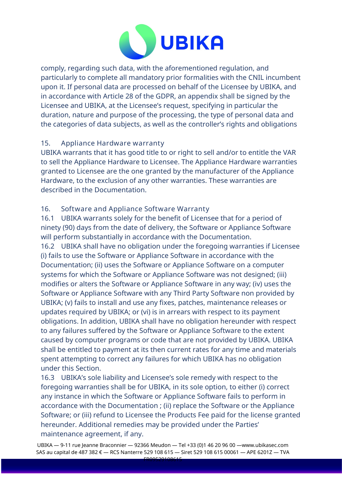

comply, regarding such data, with the aforementioned regulation, and particularly to complete all mandatory prior formalities with the CNIL incumbent upon it. If personal data are processed on behalf of the Licensee by UBIKA, and in accordance with Article 28 of the GDPR, an appendix shall be signed by the Licensee and UBIKA, at the Licensee's request, specifying in particular the duration, nature and purpose of the processing, the type of personal data and the categories of data subjects, as well as the controller's rights and obligations

### 15. Appliance Hardware warranty

UBIKA warrants that it has good title to or right to sell and/or to entitle the VAR to sell the Appliance Hardware to Licensee. The Appliance Hardware warranties granted to Licensee are the one granted by the manufacturer of the Appliance Hardware, to the exclusion of any other warranties. These warranties are described in the Documentation.

### 16. Software and Appliance Software Warranty

16.1 UBIKA warrants solely for the benefit of Licensee that for a period of ninety (90) days from the date of delivery, the Software or Appliance Software will perform substantially in accordance with the Documentation. 16.2 UBIKA shall have no obligation under the foregoing warranties if Licensee (i) fails to use the Software or Appliance Software in accordance with the Documentation; (ii) uses the Software or Appliance Software on a computer systems for which the Software or Appliance Software was not designed; (iii) modifies or alters the Software or Appliance Software in any way; (iv) uses the Software or Appliance Software with any Third Party Software non provided by UBIKA; (v) fails to install and use any fixes, patches, maintenance releases or updates required by UBIKA; or (vi) is in arrears with respect to its payment obligations. In addition, UBIKA shall have no obligation hereunder with respect to any failures suffered by the Software or Appliance Software to the extent caused by computer programs or code that are not provided by UBIKA. UBIKA shall be entitled to payment at its then current rates for any time and materials spent attempting to correct any failures for which UBIKA has no obligation under this Section.

16.3 UBIKA's sole liability and Licensee's sole remedy with respect to the foregoing warranties shall be for UBIKA, in its sole option, to either (i) correct any instance in which the Software or Appliance Software fails to perform in accordance with the Documentation ; (ii) replace the Software or the Appliance Software; or (iii) refund to Licensee the Products Fee paid for the license granted hereunder. Additional remedies may be provided under the Parties' maintenance agreement, if any.

UBIKA — 9-11 rue Jeanne Braconnier — 92366 Meudon — Tel +33 (0)1 46 20 96 00 —www.ubikasec.com SAS au capital de 487 382 € — RCS Nanterre 529 108 615 — Siret 529 108 615 00061 — APE 6201Z — TVA  $FROOF20400645$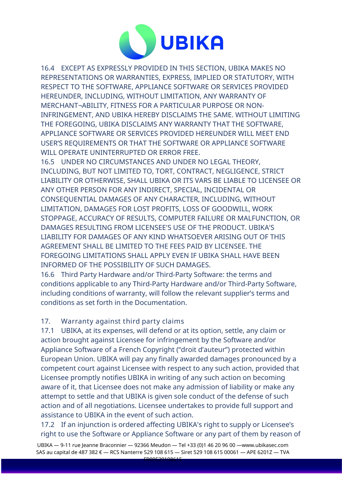

16.4 EXCEPT AS EXPRESSLY PROVIDED IN THIS SECTION, UBIKA MAKES NO REPRESENTATIONS OR WARRANTIES, EXPRESS, IMPLIED OR STATUTORY, WITH RESPECT TO THE SOFTWARE, APPLIANCE SOFTWARE OR SERVICES PROVIDED HEREUNDER, INCLUDING, WITHOUT LIMITATION, ANY WARRANTY OF MERCHANT¬ABILITY, FITNESS FOR A PARTICULAR PURPOSE OR NON-INFRINGEMENT, AND UBIKA HEREBY DISCLAIMS THE SAME. WITHOUT LIMITING THE FOREGOING, UBIKA DISCLAIMS ANY WARRANTY THAT THE SOFTWARE, APPLIANCE SOFTWARE OR SERVICES PROVIDED HEREUNDER WILL MEET END USER'S REQUIREMENTS OR THAT THE SOFTWARE OR APPLIANCE SOFTWARE WILL OPERATE UNINTERRUPTED OR ERROR FREE.

16.5 UNDER NO CIRCUMSTANCES AND UNDER NO LEGAL THEORY, INCLUDING, BUT NOT LIMITED TO, TORT, CONTRACT, NEGLIGENCE, STRICT LIABILITY OR OTHERWISE, SHALL UBIKA OR ITS VARS BE LIABLE TO LICENSEE OR ANY OTHER PERSON FOR ANY INDIRECT, SPECIAL, INCIDENTAL OR CONSEQUENTIAL DAMAGES OF ANY CHARACTER, INCLUDING, WITHOUT LIMITATION, DAMAGES FOR LOST PROFITS, LOSS OF GOODWILL, WORK STOPPAGE, ACCURACY OF RESULTS, COMPUTER FAILURE OR MALFUNCTION, OR DAMAGES RESULTING FROM LICENSEE'S USE OF THE PRODUCT. UBIKA'S LIABILITY FOR DAMAGES OF ANY KIND WHATSOEVER ARISING OUT OF THIS AGREEMENT SHALL BE LIMITED TO THE FEES PAID BY LICENSEE. THE FOREGOING LIMITATIONS SHALL APPLY EVEN IF UBIKA SHALL HAVE BEEN INFORMED OF THE POSSIBILITY OF SUCH DAMAGES.

16.6 Third Party Hardware and/or Third-Party Software: the terms and conditions applicable to any Third-Party Hardware and/or Third-Party Software, including conditions of warranty, will follow the relevant supplier's terms and conditions as set forth in the Documentation.

### 17. Warranty against third party claims

17.1 UBIKA, at its expenses, will defend or at its option, settle, any claim or action brought against Licensee for infringement by the Software and/or Appliance Software of a French Copyright ("droit d'auteur") protected within European Union. UBIKA will pay any finally awarded damages pronounced by a competent court against Licensee with respect to any such action, provided that Licensee promptly notifies UBIKA in writing of any such action on becoming aware of it, that Licensee does not make any admission of liability or make any attempt to settle and that UBIKA is given sole conduct of the defense of such action and of all negotiations. Licensee undertakes to provide full support and assistance to UBIKA in the event of such action.

17.2 If an injunction is ordered affecting UBIKA's right to supply or Licensee's right to use the Software or Appliance Software or any part of them by reason of

UBIKA — 9-11 rue Jeanne Braconnier — 92366 Meudon — Tel +33 (0)1 46 20 96 00 —www.ubikasec.com SAS au capital de 487 382 € — RCS Nanterre 529 108 615 — Siret 529 108 615 00061 — APE 6201Z — TVA  $F = 2052988545$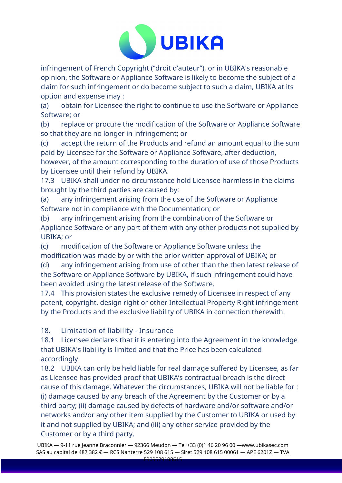

infringement of French Copyright ("droit d'auteur"), or in UBIKA's reasonable opinion, the Software or Appliance Software is likely to become the subject of a claim for such infringement or do become subject to such a claim, UBIKA at its option and expense may :

(a) obtain for Licensee the right to continue to use the Software or Appliance Software; or

(b) replace or procure the modification of the Software or Appliance Software so that they are no longer in infringement; or

(c) accept the return of the Products and refund an amount equal to the sum paid by Licensee for the Software or Appliance Software, after deduction,

however, of the amount corresponding to the duration of use of those Products by Licensee until their refund by UBIKA.

17.3 UBIKA shall under no circumstance hold Licensee harmless in the claims brought by the third parties are caused by:

(a) any infringement arising from the use of the Software or Appliance Software not in compliance with the Documentation; or

(b) any infringement arising from the combination of the Software or Appliance Software or any part of them with any other products not supplied by UBIKA; or

(c) modification of the Software or Appliance Software unless the modification was made by or with the prior written approval of UBIKA; or

(d) any infringement arising from use of other than the then latest release of the Software or Appliance Software by UBIKA, if such infringement could have been avoided using the latest release of the Software.

17.4 This provision states the exclusive remedy of Licensee in respect of any patent, copyright, design right or other Intellectual Property Right infringement by the Products and the exclusive liability of UBIKA in connection therewith.

18. Limitation of liability - Insurance

18.1 Licensee declares that it is entering into the Agreement in the knowledge that UBIKA's liability is limited and that the Price has been calculated accordingly.

18.2 UBIKA can only be held liable for real damage suffered by Licensee, as far as Licensee has provided proof that UBIKA's contractual breach is the direct cause of this damage. Whatever the circumstances, UBIKA will not be liable for : (i) damage caused by any breach of the Agreement by the Customer or by a third party; (ii) damage caused by defects of hardware and/or software and/or networks and/or any other item supplied by the Customer to UBIKA or used by it and not supplied by UBIKA; and (iii) any other service provided by the Customer or by a third party.

UBIKA — 9-11 rue Jeanne Braconnier — 92366 Meudon — Tel +33 (0)1 46 20 96 00 —www.ubikasec.com SAS au capital de 487 382 € — RCS Nanterre 529 108 615 — Siret 529 108 615 00061 — APE 6201Z — TVA  $FROOFA0900015$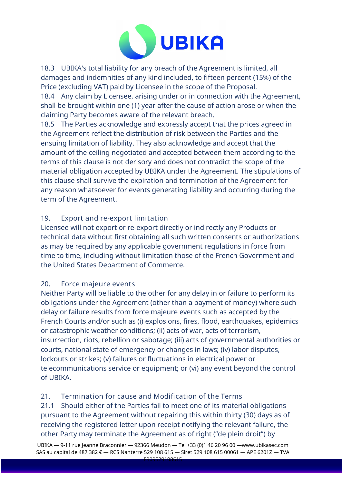

18.3 UBIKA's total liability for any breach of the Agreement is limited, all damages and indemnities of any kind included, to fifteen percent (15%) of the Price (excluding VAT) paid by Licensee in the scope of the Proposal.

18.4 Any claim by Licensee, arising under or in connection with the Agreement, shall be brought within one (1) year after the cause of action arose or when the claiming Party becomes aware of the relevant breach.

18.5 The Parties acknowledge and expressly accept that the prices agreed in the Agreement reflect the distribution of risk between the Parties and the ensuing limitation of liability. They also acknowledge and accept that the amount of the ceiling negotiated and accepted between them according to the terms of this clause is not derisory and does not contradict the scope of the material obligation accepted by UBIKA under the Agreement. The stipulations of this clause shall survive the expiration and termination of the Agreement for any reason whatsoever for events generating liability and occurring during the term of the Agreement.

# 19. Export and re-export limitation

Licensee will not export or re-export directly or indirectly any Products or technical data without first obtaining all such written consents or authorizations as may be required by any applicable government regulations in force from time to time, including without limitation those of the French Government and the United States Department of Commerce.

### 20. Force majeure events

Neither Party will be liable to the other for any delay in or failure to perform its obligations under the Agreement (other than a payment of money) where such delay or failure results from force majeure events such as accepted by the French Courts and/or such as (i) explosions, fires, flood, earthquakes, epidemics or catastrophic weather conditions; (ii) acts of war, acts of terrorism, insurrection, riots, rebellion or sabotage; (iii) acts of governmental authorities or courts, national state of emergency or changes in laws; (iv) labor disputes, lockouts or strikes; (v) failures or fluctuations in electrical power or telecommunications service or equipment; or (vi) any event beyond the control of UBIKA.

# 21. Termination for cause and Modification of the Terms

21.1 Should either of the Parties fail to meet one of its material obligations pursuant to the Agreement without repairing this within thirty (30) days as of receiving the registered letter upon receipt notifying the relevant failure, the other Party may terminate the Agreement as of right ("de plein droit") by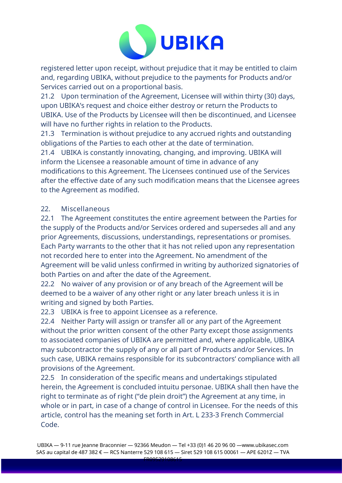

registered letter upon receipt, without prejudice that it may be entitled to claim and, regarding UBIKA, without prejudice to the payments for Products and/or Services carried out on a proportional basis.

21.2 Upon termination of the Agreement, Licensee will within thirty (30) days, upon UBIKA's request and choice either destroy or return the Products to UBIKA. Use of the Products by Licensee will then be discontinued, and Licensee will have no further rights in relation to the Products.

21.3 Termination is without prejudice to any accrued rights and outstanding obligations of the Parties to each other at the date of termination.

21.4 UBIKA is constantly innovating, changing, and improving. UBIKA will inform the Licensee a reasonable amount of time in advance of any modifications to this Agreement. The Licensees continued use of the Services after the effective date of any such modification means that the Licensee agrees to the Agreement as modified.

### 22. Miscellaneous

22.1 The Agreement constitutes the entire agreement between the Parties for the supply of the Products and/or Services ordered and supersedes all and any prior Agreements, discussions, understandings, representations or promises. Each Party warrants to the other that it has not relied upon any representation not recorded here to enter into the Agreement. No amendment of the Agreement will be valid unless confirmed in writing by authorized signatories of both Parties on and after the date of the Agreement.

22.2 No waiver of any provision or of any breach of the Agreement will be deemed to be a waiver of any other right or any later breach unless it is in writing and signed by both Parties.

22.3 UBIKA is free to appoint Licensee as a reference.

22.4 Neither Party will assign or transfer all or any part of the Agreement without the prior written consent of the other Party except those assignments to associated companies of UBIKA are permitted and, where applicable, UBIKA may subcontractor the supply of any or all part of Products and/or Services. In such case, UBIKA remains responsible for its subcontractors' compliance with all provisions of the Agreement.

22.5 In consideration of the specific means and undertakings stipulated herein, the Agreement is concluded intuitu personae. UBIKA shall then have the right to terminate as of right ("de plein droit") the Agreement at any time, in whole or in part, in case of a change of control in Licensee. For the needs of this article, control has the meaning set forth in Art. L 233-3 French Commercial Code.